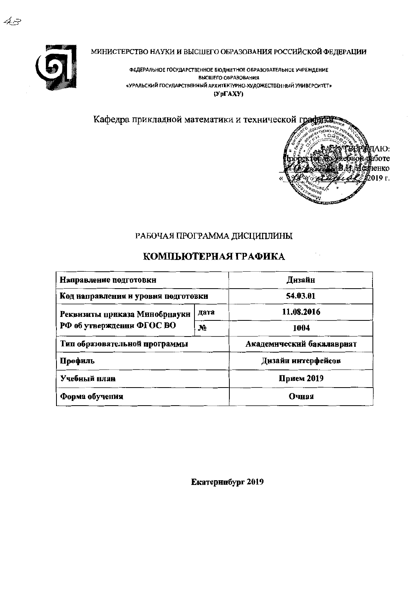

43

МИНИСТЕРСТВО НАУКИ И ВЫСШЕГО ОБРАЗОВАНИЯ РОССИЙСКОЙ ФЕДЕРАЦИИ

ФЕДЕРАЛЬНОЕ ГОСУДАРСТВЕННОЕ БЮДЖЕТНОЕ ОБРАЗОВАТЕЛЬНОЕ УЧРЕЖДЕНИЕ ВЫСШЕГО ОБРАЗОВАНИЯ «УРАЛЬСКИЙ ГОСУДАРСТВЕННЫЙ АРХИТЕКТУРНО-ХУДОЖЕСТВЕННЫЙ УНИВЕРСИТЕТ»  $(Yp\Gamma A X Y)$ 



### РАБОЧАЯ ПРОГРАММА ДИСЦИПЛИНЫ

# КОМПЬЮТЕРНАЯ ГРАФИКА

| Направление подготовки              |      |                           |  |  |
|-------------------------------------|------|---------------------------|--|--|
| Код направления и уровня подготовки |      | 54.03.01                  |  |  |
| Реквизиты приказа Минобрнауки       | дата | 11.08.2016                |  |  |
| РФ об утверждении ФГОС ВО           | No   | 1004                      |  |  |
| Тип образовательной программы       |      | Академический бакалавриат |  |  |
| Профиль                             |      | Дизайн нитерфейсов        |  |  |
| Учебный план                        |      | Прием 2019                |  |  |
| Форма обучения                      |      | Очная                     |  |  |

Екатеринбург 2019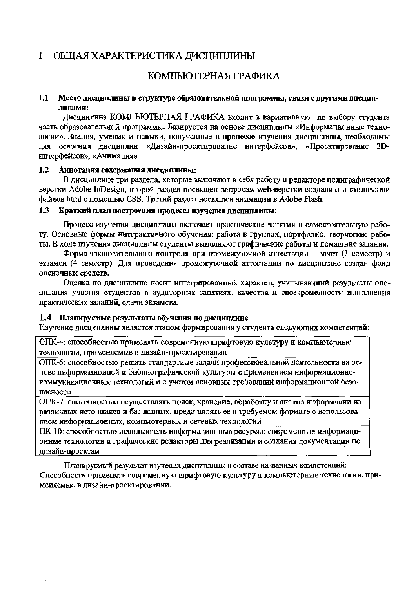#### ОБІЦАЯ ХАРАКТЕРИСТИКА ДИСЦИПЛИНЫ  $\mathbf{1}$

### КОМПЬЮТЕРНАЯ ГРАФИКА

#### $1.1$ Место дисциплины в структуре образовательной программы, связи с другими дисциплинами:

Дисцинлина КОМПЬЮТЕРНАЯ ГРАФИКА входит в вариативную по выбору студента часть образовательной программы. Базируется на основе дисциплины «Информационные технологии». Знания, умения и навыки, полученные в процессе изучения дисциплины, необходнмы для освоения дисциплин «Дизайн-проектированне интерфейсов», «Проектирование 3Dинтерфейсов», «Анимация».

#### $1.2$ Аннотация содержания дисциплины:

В дисцинлине три раздела, которые включают в себя работу в редакторе полиграфической верстки Adobe InDesign, второй раздел посвящен вопросам web-верстки созданию и стилизации файлов html с помощью CSS. Третий раздел носвящен анимации в Adobe Flash.

#### $1.3$ Краткий план построения процесса изучения дисциплины:

Процесс изучения дисциплины включает практические занятия и самостоятельную работу. Основные формы интерактивного обучения: работа в группах, портфолио, творческие работы. В ходе изучения дисциплины студенты выполняют графические работы и домашние задания.

Форма заключительного контроля при промежуточной аттестации - зачет (3 семестр) и экзамен (4 семестр). Для нроведения промежуточной аттестации по дисциплине создан фонд оценочных средств.

Оценка по дисциплине носит интегрированный характер, учитывающий результаты оценивания участия студентов в аудиторных занятиях, качества и своевременности выполнения практических заданий, сдачи экзамена.

#### 1.4 Планнруемые результаты обучения по дисциплине

Изучение дисциплины является этапом формирования у студента следующих компетеиций:

ОПК-4: способностью применять современную шрифтовую культуру и компьютерные технологии, применяемые в дизайн-проектировании

ОПК-6: способностью решать стандартиые задачи профессиональной деятельности на основе информациоиной и библиографической культуры с применением информациониокоммуникационных технологий и с учетом осиовных требований информационной безопасности

ОПК-7: способностью осуществлять поиск, хранение, обработку и анализ информации из различиых источников и баз данных, нредставлять ее в требуемом формате с использованием информационных, компьютерных и сетевых технологий

ПК-10: способностью использовать информационные ресурсы: современные информационные технологии и графические редакторы для реализации и создания документации но дизайн-проектам

Планируемый результат изучения дисциплины в составе названных компетенций: Способность применять современную шрифтовую культуру и компьютерные технологии, примеияемые в дизайн-проектировании.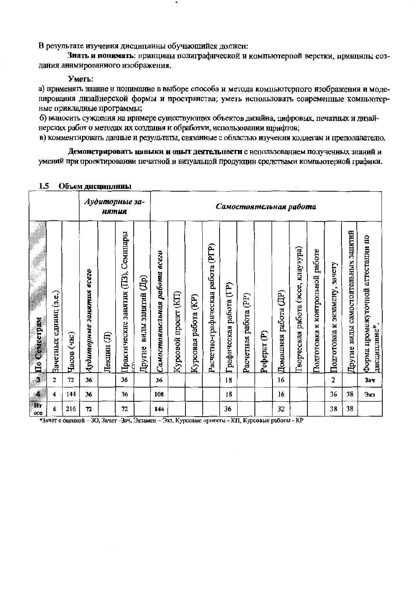В результате изучения дисциплины обучающийся должен:

Знать и понимать: принципы полиграфической и компьютерпой верстки, принципы создания анимированного изображения.

#### Уметь:

а) применять знание и понимание в выборе способа и метода компьютерпого изображения и моделирования дизайнерской формы и пространства; уметь использовать современные компьютерные прикладные программы;

б) выносить суждения на примере существующих объектов дизайна, цифровых, печатных и дизайнерских работ о методах их создания и обработки, использовании щрифтов;

в) комментировать данные и результаты, связанные с областью изучения коллегам и преподавателю.

Демонстрировать навыки и опыт деятельности с использованием полученных знаний и умений при проектировании печатной и визуальпой продукции средствами компьютериой графики.

| .                       |                        |                | O O O ONE ANELO EN EL DEL ESTE ELLE |             |                                     |                             |                              |                      |                           |                                      |                         |                       |                        |                      |                                          |                                          |                                     |                                     |                                                  |
|-------------------------|------------------------|----------------|-------------------------------------|-------------|-------------------------------------|-----------------------------|------------------------------|----------------------|---------------------------|--------------------------------------|-------------------------|-----------------------|------------------------|----------------------|------------------------------------------|------------------------------------------|-------------------------------------|-------------------------------------|--------------------------------------------------|
| Аудиторные за-<br>нятия |                        |                |                                     |             |                                     |                             |                              |                      |                           |                                      |                         |                       | Самостоятельная работа |                      |                                          |                                          |                                     |                                     |                                                  |
| По Семестрам            | Зачетных единиц (з.е.) | (Tac)<br>Часов | Аудиторные занятия всего            | €<br>Лекции | Практические занятия (ПЗ), Семинары | виды занятий (Др)<br>Другие | Самостоятельная работа всего | Курсовой проект (КП) | (E)<br>работа<br>Курсовая | (PTP)<br>Расчетно-графическая работа | Графическая работа (ГР) | Расчетная работа (PP) | Реферат (Р)            | Домашняя работа (ДР) | клаузура)<br>(acce,<br>Гворческая работа | работе<br>контрольной<br>×<br>Подготовка | зачету<br>экзамену,<br>Подготовка к | Другие виды самостоятельных занятий | Форма промежуточной аттестации по<br>дисциплине* |
| J                       | $\mathbf{2}$           | 72             | 36                                  |             | 36                                  |                             | 36                           |                      |                           |                                      | 18                      |                       |                        | 16                   |                                          |                                          | 2                                   |                                     | <b>Зач</b>                                       |
| $\overline{\mathbf{A}}$ | 4                      | 144            | 36                                  |             | 36                                  |                             | 108                          |                      |                           |                                      | 18                      |                       |                        | 16                   |                                          |                                          | 36                                  | 38                                  | Экз                                              |
| Ит<br>0 <sub>0</sub>    | 6                      | 216            | 72                                  |             | 72                                  |                             | 144                          |                      |                           |                                      | 36                      |                       |                        | 32                   |                                          |                                          | 38                                  | 38                                  |                                                  |

#### 1.5 Объем писниннымы

\*Зачет с оценкой - ЗО, Зачет -Зач, Экзамен - Экз, Курсовые проекты - КП, Курсовые работы - КР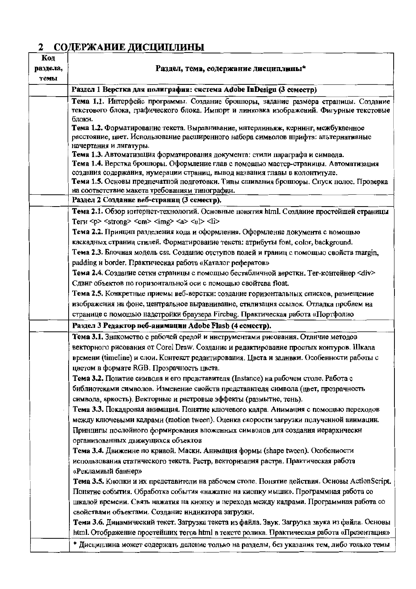# **2 СОДЕРЖАНИЕ ДИСЦИПЛИНЫ**

| Код<br>раздела,<br>темы | Раздел, тема, содержание дисциплины*                                                                                                                                                                                                               |
|-------------------------|----------------------------------------------------------------------------------------------------------------------------------------------------------------------------------------------------------------------------------------------------|
|                         | Раздел 1 Верстка для полиграфии: система Adobe InDesign (3 семестр)                                                                                                                                                                                |
|                         | Тема 1.1. Интерфейс программы. Создание брошюры, задание размера страницы. Создание<br>текстового блока, графического блока. Импорт и линковка изображений. Фигурные текстовые<br>блоки.                                                           |
|                         | Тема 1.2. Форматирование текста. Выравнивание, интерлиньяж, кернинг, межбуквенное<br>расстояние, цвет. Использование расширенного набора символов шрифта: альтернативные<br>начертания и лигатуры.                                                 |
|                         | Тема 1.3. Автоматизация форматирования документа: стили параграфа и символа.<br>Тема 1.4. Верстка брошюры. Оформление глав с помощью мастер-страницы. Автоматизация<br>создания содержания, нумерации страниц, вывод названия главы в колонтитуле. |
|                         | Тема 1.5. Основы предпечатной подготовки. Типы сшивания брошюры. Спуск полос. Проверка<br>на соответствие макета требованиям типографии.                                                                                                           |
|                         | Раздел 2 Создание веб-страниц (3 семестр).                                                                                                                                                                                                         |
|                         | Тема 2.1. Обзор интернет-технологий. Основные понятия html. Создание простейшей страницы<br>Terи <p> <strong> <em> <img/> <a> <ul><li></li></ul></a></em></strong></p>                                                                             |
|                         | Тема 2.2. Принцип разделения кода и оформления. Оформленне документа с помощью                                                                                                                                                                     |
|                         | каскадных страниц стилей. Форматирование текста: атрибуты font, color, background.                                                                                                                                                                 |
|                         | Тема 2.3. Блочная модель css. Создание отступов полей и границ с помощью свойств margin,<br>padding и border. Практическая работа «Каталог рефератов»                                                                                              |
|                         | Тема 2.4. Создание сетки страницы с помощью бестабличной верстки. Тег-контейнер <div></div>                                                                                                                                                        |
|                         | Сдвиг объектов по горизонтальной оси с помощью свойтсва float.                                                                                                                                                                                     |
|                         | Тема 2.5. Конкретные приемы веб-верстки: создание горизонтальных списков, размещение                                                                                                                                                               |
|                         | изображения на фоне, центральное выравнивание, стилизация ссылок. Отладка проблем на<br>странице с помощью надстройки браузера Firebug. Практическая работа «Портфолио                                                                             |
|                         | Раздел 3 Редактор веб-анимации Adobe Flasb (4 семестр).                                                                                                                                                                                            |
|                         | Тема 3.1. Знакомство с рабочей средой и ннструментами рисования. Отличие методов                                                                                                                                                                   |
|                         | векторного рисования от Corel Draw. Создание и редактирование простых контуров. Шкала                                                                                                                                                              |
|                         | времени (timeline) и слои. Контекст редактирования. Цвета и залнвки. Особенности работы с<br>цветом в формате RGB. Прозрачность цвета.                                                                                                             |
|                         | Тема 3.2. Понятие символа и его представителя (Instance) на рабочем столе. Работа с                                                                                                                                                                |
|                         | библиотеками символов. Изменение свойств представнтеля символа (цвет, прозрачность                                                                                                                                                                 |
|                         | символа, яркость). Векторные и растровые эффекты (размытие, тень).                                                                                                                                                                                 |
|                         | Тема 3.3. Покадровая анимация. Понятие ключевого кадра. Анимация с помощью переходов                                                                                                                                                               |
|                         | между ключевыми кадрами (motion tween). Оценка скорости загрузки полученной анимации.                                                                                                                                                              |
|                         | Принципы послойного формирования вложенных символов для создания иерархически<br>организованных движущихся объектов                                                                                                                                |
|                         | Тема 3.4. Движенне по кривой. Маски. Анимация формы (shape tween). Особениости                                                                                                                                                                     |
|                         | использования статического текста. Растр, векторизация растра. Практическая работа<br>«Рекламный баннер»                                                                                                                                           |
|                         | Тема 3.5. Кнопки и их представители на рабочем столе. Понятие действия. Основы ActionScript.                                                                                                                                                       |
|                         | Понятие события. Обработка события «нажатне на киопку мыши». Программная работа со                                                                                                                                                                 |
|                         | шкалой времени. Связь нажатия на кнопку и перехода между кадрами. Программная работа со                                                                                                                                                            |
|                         | свойствами объектами. Создание индикатора загрузки.                                                                                                                                                                                                |
|                         | Тема 3.6. Динамический текст. Загрузка текста из файла. Звук. Загрузка звука из файла. Основы                                                                                                                                                      |
|                         | html. Отображение простейших тегов html в тексте ролика. Практическая работа «Презентация»                                                                                                                                                         |
|                         | * Дисциплина может содержать деление только на разделы, без указания тем, либо только темы                                                                                                                                                         |

٦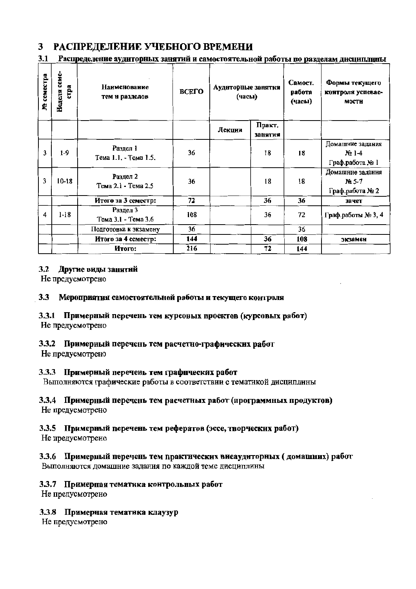#### РАСПРЕДЕЛЕНИЕ УЧЕБНОГО ВРЕМЕНИ 3

#### 3.1 Распределение аудиторных занятий и самостоятельной работы по разделам дисциплины

| М семестра | Неделя семе-<br><b>CTDA</b> | Наименование<br>тем и разделов    | ВСЕГО | Аудиторные занятня<br>(часы) |                   | Самост.<br>работа<br>(часы) | Формы текущего<br>контроля успевае-<br>мости   |
|------------|-----------------------------|-----------------------------------|-------|------------------------------|-------------------|-----------------------------|------------------------------------------------|
|            |                             |                                   |       | Лекции                       | Практ.<br>занятия |                             |                                                |
| 3          | $1-9$                       | Раздел 1<br>Тема 1.1. - Тема 1.5. | 36    |                              | 18                | 18                          | Домашние задания<br>$N21-4$<br>Граф.работа № 1 |
| 3          | $10-18$                     | Раздел 2<br>Тема 2.1 - Тема 2.5   | 36    |                              | 18                | 18                          | Домашние задания<br>No 5-7<br>Граф.работа № 2  |
|            |                             | Итого за 3 семестр:               | 72    |                              | 36                | 36                          | зачет                                          |
| 4          | $1 - 18$                    | Раздел 3<br>Тема 3.1 - Тема 3.6   | 108   |                              | 36                | 72                          | Граф.работы № 3, 4                             |
|            |                             | Подготовка к экзамену             | 36    |                              |                   | 36                          |                                                |
|            |                             | Итого за 4 семестр:               | 144   | 36                           |                   | 108                         | экзамен                                        |
|            |                             | Итого:                            | 216   |                              | 72                | 144                         |                                                |

#### $3.2$ Другие виды занятий

Не предусмотрено

#### Мероприятия самостоятельной работы и текущего контроля 3.3

#### 3.3.1 Примерный перечень тем курсовых проектов (курсовых работ) Не предусмотрено

### 3.3.2 Примерный перечень тем расчетно-графических работ

Не предусмотрено

### 3.3.3 Примерный перечень тем графических работ

Выполняются графические работы в соответствии с тематикой дисциплины

### 3.3.4 Примерный перечень тем расчетных работ (программных продуктов)

Не предусмотрено

# 3.3.5 Примерный перечень тем рефератов (эссе, творческих работ)

Не предусмотрено

# 3.3.6 Примерный перечень тем практических внеаудиторных (домашних) работ

Выполняются домашние задания по каждой теме дисциплины

### 3.3.7 Примерная тематика контрольных работ

Не предусмотрено

### 3.3.8 Примерная тематика клаузур

Не предусмотрено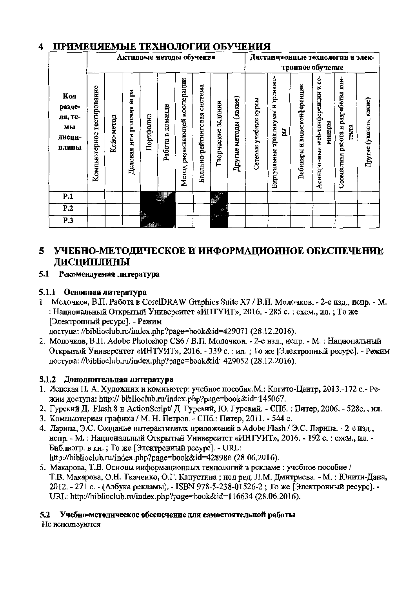#### ПРИМЕНЯЕМЫЕ ТЕХНОЛОГИИ ОБУЧЕНИЯ  $\blacktriangleleft$

|                                                   |                              |            |                             | Активные методы обучения |                  |                              |                             |                    |                       |                          | Дистанционные технологии и элек-              |                             |                                                       |                                              |                         |
|---------------------------------------------------|------------------------------|------------|-----------------------------|--------------------------|------------------|------------------------------|-----------------------------|--------------------|-----------------------|--------------------------|-----------------------------------------------|-----------------------------|-------------------------------------------------------|----------------------------------------------|-------------------------|
|                                                   |                              |            |                             |                          |                  |                              |                             |                    |                       |                          |                                               |                             | тронное обучение                                      |                                              |                         |
| Код<br>разде-<br>ла, те-<br>МЫ<br>ДИСЦИ-<br>плины | тестирование<br>Компьютерное | Кейс-метод | игра<br>Деловая или ролевая | Портфолно                | Работа в команде | Метод развивающей кооперации | Балльно-рейтинговая система | Творческие задания | Другие методы (какие) | учебные курсы<br>Сетевые | тренаже-<br>практикумы н<br>E,<br>Виртуальные | Вебннары и видеоконференции | ပ္ပံ<br>z<br>web-конференции<br>минары<br>Асинхронные | Совместная работа н разработка кон-<br>тента | Другне (указать, какне) |
| P.1                                               |                              |            |                             |                          |                  |                              |                             | 經                  |                       |                          |                                               |                             |                                                       |                                              |                         |
| P.2                                               |                              |            |                             | ‱.                       |                  |                              |                             | E                  |                       |                          |                                               |                             |                                                       |                                              |                         |
| <b>P.3</b>                                        |                              |            |                             |                          |                  |                              |                             |                    |                       |                          |                                               |                             |                                                       |                                              |                         |

# 5 УЧЕБНО-МЕТОДИЧЕСКОЕ И ИНФОРМАЦИОННОЕ ОБЕСПЕЧЕНИЕ ЛИСЦИПЛИНЫ

#### 5.1 Рекомендуемая литература

### 5.1.1 Основная литература

1. Молочков, В.П. Работа в CorelDRAW Graphics Suite X7 / В.П. Молочков. - 2-е изд., испр. - М. : Национальный Открытый Университет «ИНТУИТ», 2016. - 285 с. : схем., ил. ; То же [Электронный ресурс]. - Режим

доступа: //biblioclub.ru/index.php?page=book&id=429071 (28.12.2016).

2. Молочков, В.П. Adobe Photoshop CS6 / В.П. Молочков. - 2-е изд., испр. - М. : Национальный Открытый Университет «ИНТУИТ», 2016. - 339 с. : ил. ; То же [Электронный ресурс]. - Режим доступа: //biblioclub.ru/index.php?page=book&id=429052 (28.12.2016).

### 5.1.2 Дополнительная литература

- 1. Лепская Н. А. Художник и комньютер: учебное пособие. М.: Когито-Центр, 2013.-172 с.- Режим доступа: http:// biblioclub.ru/index.php?page=book&id=145067.
- 2. Гурский Д. Flash 8 и ActionScript/ Д. Гурский, Ю. Гурский. СПб.: Питер, 2006. 528с., ил.
- 3. Компьютерная графика / М. Н. Петров. СПб.: Питер, 2011. 544 с.
- 4. Ларина, Э.С. Создание интерактивных приложений в Adobe Flash / Э.С. Ларина. 2-е изд., испр. - М. : Национальный Открытый Университет «ИНТУИТ», 2016. - 192 с. : схем., ил. -Библиогр. в кн.; То же [Электрониый ресурс]. - URL: http://biblioclub.ru/index.php?page=book&id=428986 (28.06.2016).
- 5. Макарова, Т.В. Основы информационных технологий в рекламе: учебное пособие / Т.В. Макарова, О.Н. Ткаченко, О.Г. Капустина; нод ред. Л.М. Дмитриева. - М.: Юнити-Дана, 2012. - 271 с. - (Азбука рекламы). - ISBN 978-5-238-01526-2; То же [Электронный ресурс]. -URL: http://biblioclub.ru/index.php?page=book&id=116634 (28.06.2016).

# 5.2 Учебно-методическое обеспечение для самостоятельной работы

Не иснользуются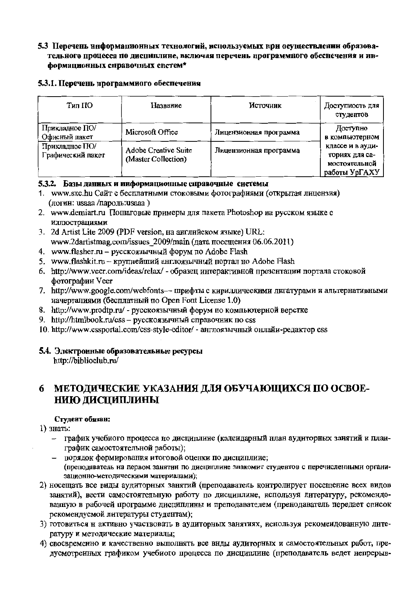#### 5.3 Перечень информационных технологий, используемых нри осуществлении образовательного процесса по дисциплине, включая перечень программного обеснечения и информационных справочных снетем\*

#### 5.3.1. Перечень программного обеспечения

| Тип ПО                              | Название                                    | Источник               | Доступность для<br>студентов                                         |
|-------------------------------------|---------------------------------------------|------------------------|----------------------------------------------------------------------|
| Прикладное ПО/<br>Офисный пакет     | Microsoft Office                            | Лицензионная программа | Доступно<br>в компьютерном                                           |
| Прикладное ПО/<br>Графический пакет | Adobe Creative Suite<br>(Master Collection) | Лицензионная программа | классе и в ауди-<br>ториях для са-<br>мостоятельной<br>работы УрГАХУ |

#### 5.3.2. Базы данных и информационные справочные системы

- 1. www.sxc.hu Сайт с бесплатными стоковыми фотографиями (открытая лицензия) (логин: usaaa /пароль:usaaa)
- 2. www.demiart.ru Пошаговые примеры для пакета Photoshop на русском языке с иллюстрациями
- 3. 2d Artist Lite 2009 (PDF version, на английском языке) URL: www.2dartistmag.com/issues 2009/main (дата посещения 06.06.2011)
- 4. www.flasher.ru русскоязычный форум по Adobe Flash
- 5. www.flashkit.ru крупнейший англоязычный портал но Adobe Flash
- 6. http://www.veer.com/ideas/relax/ образец интерактивной презентации портала стоковой фотографии Veer
- 7. http://www.google.com/webfonts- шрифты с кириллическими лигатурами и альтернативными начертаниями (бесплатный по Open Font License 1.0)
- 8. http://www.prodtp.ru/ русскоязычный форум по компьютерной верстке
- 9. http://htmlbook.ru/css русскоязычный справочник по css
- 10. http://www.cssportal.com/css-style-editor/ англоязычный онлайи-редактор css

### 5.4. Электронные образовательные ресурсы

http://biblioclub.ru/

#### МЕТОДИЧЕСКИЕ УКАЗАНИЯ ДЛЯ ОБУЧАЮЩИХСЯ ПО ОСВОЕ-6 НИЮ ДИСЦИПЛИНЫ

#### Студент обязан:

- 1) знать:
	- график учебного процесса но дисциплине (калеидарный нлан аудиторных занятий и планграфик самостоятельной работы);
	- порядок формирования итоговой оценки по дисциплиие; (преподаватель на первом занятии по дисциплине знакомит студентов с перечисленными организационно-методическими материалами);
- 2) носещать все виды аудиторных занятий (преподаватель контролирует посещение всех видов занятий), вести самостоятельную работу по дисциплине, используя литературу, рекомендованную в рабочей программе дисциплины и преподавателем (пренодаватель передает список рекомендуемой литературы студентам);
- 3) готовиться н активно участвовать в аудиторных занятиях, иснользуя рекомеидованную литературу и методические материалы;
- 4) своевременно и качественно выполнять все внды аудиториых и самостоятельных работ, предусмотренных графиком учебного процесса по дисциплине (преподаватель ведет непрерыв-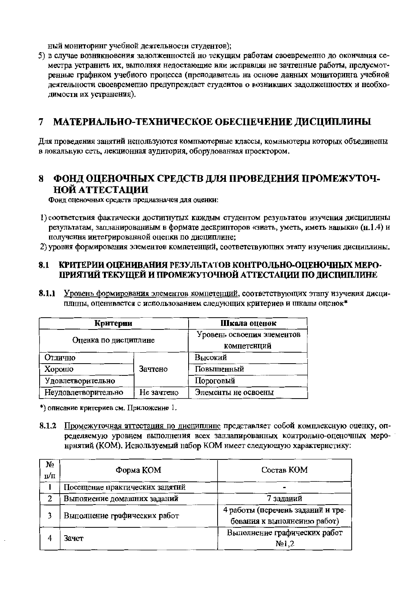ный мониторинг учебной деятельности студентов);

5) в случае возникновения задолженностей но текущим работам своевременно до окончания семестра устранить их, выполняя недостающие или исправляя не зачтенные работы, предусмотренные графиком учебного процесса (преподаватель на основе данных мониторинга учебиой деятельности своевременно предупреждает студентов о возникших задолженностях и необходимости их устранения).

#### $\overline{7}$ МАТЕРИАЛЬНО-ТЕХНИЧЕСКОЕ ОБЕСПЕЧЕНИЕ ДИСЦИПЛИНЫ

Лля проведения занятий иснользуются компьютерные классы, комньютеры которых объединены в локальную сеть, лекционная аудитория, оборудованная проектором,

#### ФОНД ОЦЕНОЧНЫХ СРЕДСТВ ДЛЯ ПРОВЕДЕНИЯ ПРОМЕЖУТОЧ-8 НОЙ АТТЕСТАПИИ

Фонд оценочных средств предназначен для оценки:

- 1) соответствия фактически достигнутых каждым студентом результатов изучения дисциплины результатам, запланированным в формате дескрипторов «знать, уметь, иметь навыки» (н.1.4) и получення интегрированной оцепки по дисциплине;
- 2) уровня формирования элементов компетенций, соответствующих этапу изучения дисциплины.

#### КРИТЕРИИ ОЦЕНИВАНИЯ РЕЗУЛЬТАТОВ КОНТРОЛЬНО-ОПЕНОЧНЫХ МЕРО-8.1 ПРИЯТИЙ ТЕКУЩЕЙ И ПРОМЕЖУТОЧНОЙ АТТЕСТАЦИИ ПО ДИСЦИПЛИНЕ

8.1.1 Уровень формирования элементов компетенций, соответствующих этапу изучения дисциплины, оценивается с использованием следующих критериев и шкалы оценок\*

| Критерии             |            | Шкала оценок               |  |  |
|----------------------|------------|----------------------------|--|--|
| Оценка по дисциплине |            | Уровень освоепия элементов |  |  |
|                      |            | компетенций                |  |  |
| Отлично              |            | Высокий                    |  |  |
| Хорошо               | Зачтено    | Повышенный                 |  |  |
| Удовлетворительно    |            | Пороговый                  |  |  |
| Неудовлетворительно  | Не зачтено | Элементы не освоены        |  |  |

\*) описание критериев см. Приложение 1.

8.1.2 Промежуточная аттестация по дисциплине представляет собой комплексную оценку, определяемую уровнем выполнения всех заплапированных контрольно-оценочных меронрнятий (КОМ). Иснользуемый набор КОМ имеет следующую характернстику:

| N₫<br>п/п | Форма КОМ                      | Состав КОМ                                                       |
|-----------|--------------------------------|------------------------------------------------------------------|
|           | Посещение практических занятий |                                                                  |
|           | Выполиение домашних заданий    | 7 заданий                                                        |
| 3         | Выполнение графических работ   | 4 работы (перечень заданий и тре-<br>бования к выполнеиню работ) |
|           | Зачет                          | Выполнение графических работ<br>N <sub>2</sub>                   |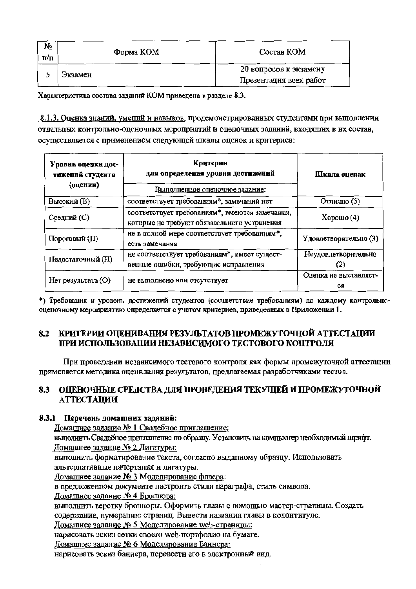| No<br>Π/Π | Форма КОМ | Состав КОМ                                       |
|-----------|-----------|--------------------------------------------------|
|           | Экзамен   | 20 вопросов к экзамену<br>Презентация всех работ |

Характеристика состава заданий КОМ приведена в разделе 8.3.

8.1.3. Оценка знаний, умений и навыков, продемонстрированных студентами при выполнении отдельных контрольно-оценочных мероприятий и оценочных заданий, входящих в их состав, осуществляется с применением следующей шкалы оценок и крнтериев:

| Уровни оценки дос-<br>тижений студента<br>(оценки) | Критерии<br>для определения уровня достижений<br>Выполненное оценочное задание:               | Шкала оценок                |
|----------------------------------------------------|-----------------------------------------------------------------------------------------------|-----------------------------|
| <b>Высокий</b> (В)                                 | соответствует требованиям*, замечаний нет                                                     | Отлично (5)                 |
| Средний (С)                                        | соответствует требованиям*, имеются замечання,<br>которые не требуют обязательного устранения | Хорошо $(4)$                |
| Пороговый (П)                                      | не в полной мере соответствует требованиям*,<br>есть замечания                                | Удовлетворительно (3)       |
| Недостаточный (Н)                                  | не соответствует требованиям*, имеет сущест-<br>венные ошибки, требующие исправления          | Неудовлетворительно<br>2)   |
| Нет результата (О)                                 | не выполнено или отсутствует                                                                  | Оценка не выставляет-<br>CЯ |

\*) Требования и уровень достижений студентов (соответствие требованиям) по каждому контрольнооценочному мероприятию определяется с учетом критериев, приведенных в Приложении 1.

#### КРИТЕРИИ ОЦЕНИВАНИЯ РЕЗУЛЬТАТОВ ПРОМЕЖУТОЧНОЙ АТТЕСТАЦИИ 8.2 ПРИ ИСПОЛЬЗОВАНИИ НЕЗАВИСИМОГО ТЕСТОВОГО КОНТРОЛЯ

При проведении независимого тестового контроля как формы промежуточной аттестации применяется методика оценнвання результатов, предлагаемая разработчиками тестов.

#### 8.3 ОЦЕНОЧНЫЕ СРЕДСТВА ДЛЯ ПРОВЕДЕНИЯ ТЕКУЩЕЙ И ПРОМЕЖУТОЧНОЙ **АТТЕСТАЦИИ**

#### 8.3.1 Перечень домашних заданий:

Домашнее задание № 1 Свадебное приглашение:

выполнить Свадебное приглашение по образцу. Установить на компьютер необходимый шрифт. Домашнее задание № 2 Лигатуры:

выполнить форматирование текста, согласно выданному образцу. Использовать

альтернативиые начертания и лигатуры.

Домашнее задание № 3 Моделнрование флаера:

в предложенном документе настроить стили параграфа, стиль символа.

Домашнее задание № 4 Брошюра:

выполнить верстку брошюры. Оформить главы с помощью мастер-страницы. Создать содержание, нумерацию страниц. Вывести названия главы в колонтитуле.

Домашиее задание № 5 Моделированне web-страннцы:

нарисовать эскиз сетки своего web-портфолио на бумаге.

Домашнее задание № 6 Моделирование Баннера:

нарисовать эскиз баннера, перевестн его в электронный вид.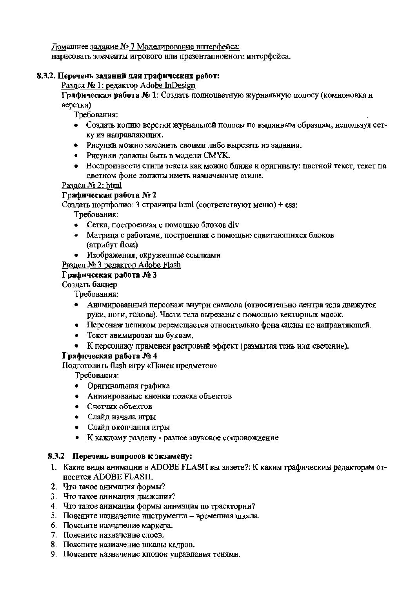Домашнее задание № 7 Моделирование интерфейса:

нарисовать элементы игрового или презентациониого интерфейса.

#### 8.3.2. Перечень заданни для графических работ:

Раздел № 1: редактор Adobe InDesign

Графическая работа № 1: Создать полноцветную журнальную полосу (комноновка н верстка)

Требования:

- Создать копию верстки журнальной полосы по выданным образцам, используя сетку из направляющих.
- Рисунки можно заменить своими либо вырезать из задания.
- Рисунки должны быть в модели СМҮК.
- Воспроизвести стили текста как можно ближе к оригиналу: цветной текст, текст па цветном фоне должны иметь назначенные стили.

Раздел № 2: html

#### Графическая работа № 2

Создать нортфолио: 3 страницы html (соответствуют меню) + css:

Требования:

- Сетка, построениая с помощью блоков div
- Матрица с работами, построенная с помощью сдвигающихся блоков (атрибут float)
- Изображения, окруженные ссылками

Раздел № 3 редактор Adobe Flash

#### Графическая работа № 3

Создать баннер

Требования:

- Анимированный персонаж внутри символа (отиосительно центра тела движутся руки, ноги, голова). Части тела вырезаны с помощью векторных масок.
- Персонаж целиком перемещается относительно фона сцены по направляющей.
- Текст анимирован по буквам.
- К персонажу применен растровый эффект (размытая тень или свечение).

#### Графическая работа № 4

Подготовить flash игру «Поиск предметов»

Требования:

- Оригинальная графика
- Анимированые кнонки поиска объектов
- Счетчик объектов
- Слайд начала игры
- Слайд окопчания игры
- К каждому разделу разное звуковое сопровождение

#### 8.3.2 Перечень вопросов к экзамену:

- 1. Какие виды анимации в ADOBE FLASH вы знаете?: К каким графическим редакторам относится ADOBE FLASH.
- 2. Что такое анимация формы?
- 3. Что такое анимация движения?
- 4. Что такое анимация формы анимация по траектории?
- 5. Поясните назначение инструмента времениая шкала.
- 6. Поясните назначение маркера.
- 7. Поясните назначение слоев.
- 8. Пояспите назиачение шкалы кадров.
- 9. Поясните назначение кпопок управления теиями.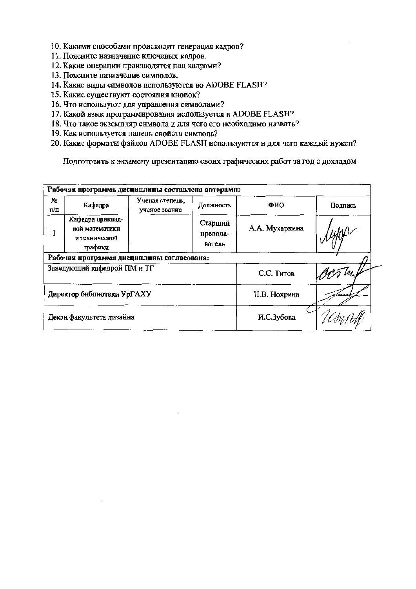- 10. Какими способами происходит генерация кадров?
- 11. Поясните назначение ключевых кадров.
- 12. Какие операции производятся над кадрами?
- 13. Поясните назиачение символов.
- 14. Какие виды символов используются во ADOBE FLASH?
- 15. Какие существуют состояния кнопок?
- 16. Что используют для управления символами?
- 17. Какой язык программирования используется в ADOBE FLASH?
- 18. Что такое экземпляр символа и для чего его необходимо назвать?
- 19. Как используется панель свойств символа?
- 20. Какие форматы файлов ADOBE FLASH используются и для чего каждый нужен?

Подготовить к экзамену презеитацию своих графических работ за год с докладом

| Рабочая программа дисциплины составлена авторамн: |                                                                |                                  |                               |                |         |  |  |  |  |
|---------------------------------------------------|----------------------------------------------------------------|----------------------------------|-------------------------------|----------------|---------|--|--|--|--|
| Nº.<br>п/п                                        | Кафедра                                                        | Ученая степень.<br>ученое звание | Должность                     | ФИО            | Подпись |  |  |  |  |
|                                                   | Кафедра приклад-<br>иой математики<br>и технической<br>графики |                                  | Старший<br>препода-<br>ватель | А.А. Мухаркина |         |  |  |  |  |
|                                                   | Рабочая программа дисциплины согласована:                      |                                  |                               |                |         |  |  |  |  |
|                                                   | Заведующий кафедрой ПМ и ТГ                                    |                                  |                               | С.С. Титов     |         |  |  |  |  |
|                                                   | Директор библиотеки УрГАХУ                                     |                                  |                               | Н.В. Нохрина   |         |  |  |  |  |
|                                                   | Декан факультета дизайна                                       |                                  | И.С.Зубова                    |                |         |  |  |  |  |